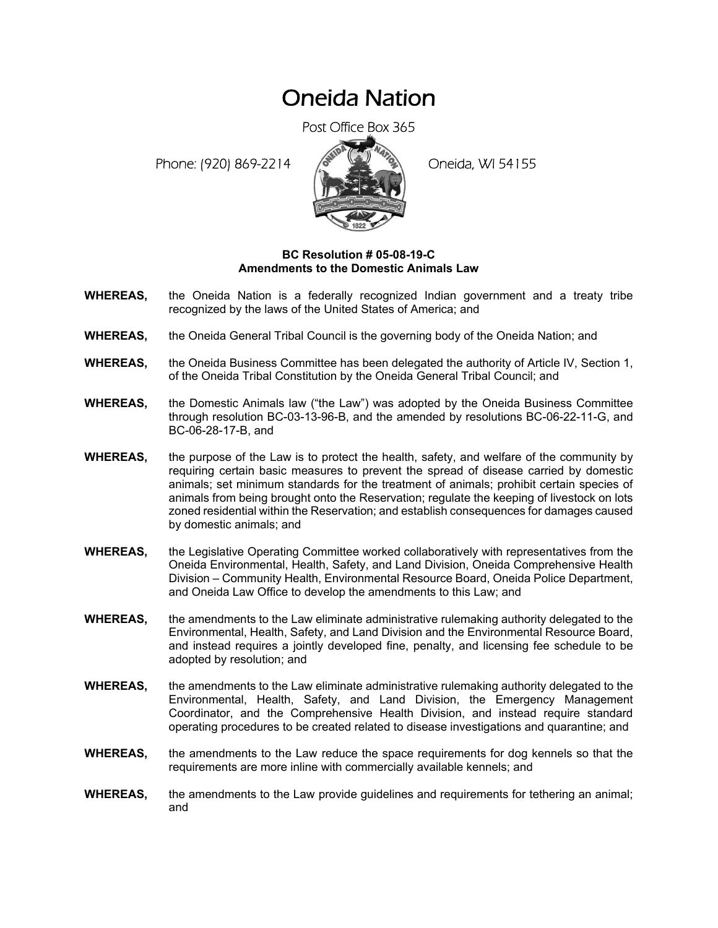## Oneida Nation

Post Office Box 365

Phone: (920) 869-2214 (8 22 3) Oneida, WI 54155



## **BC Resolution # 05-08-19-C Amendments to the Domestic Animals Law**

- **WHEREAS,** the Oneida Nation is a federally recognized Indian government and a treaty tribe recognized by the laws of the United States of America; and
- **WHEREAS,** the Oneida General Tribal Council is the governing body of the Oneida Nation; and
- **WHEREAS,** the Oneida Business Committee has been delegated the authority of Article IV, Section 1, of the Oneida Tribal Constitution by the Oneida General Tribal Council; and
- **WHEREAS,** the Domestic Animals law ("the Law") was adopted by the Oneida Business Committee through resolution BC-03-13-96-B, and the amended by resolutions BC-06-22-11-G, and BC-06-28-17-B, and
- **WHEREAS,** the purpose of the Law is to protect the health, safety, and welfare of the community by requiring certain basic measures to prevent the spread of disease carried by domestic animals; set minimum standards for the treatment of animals; prohibit certain species of animals from being brought onto the Reservation; regulate the keeping of livestock on lots zoned residential within the Reservation; and establish consequences for damages caused by domestic animals; and
- **WHEREAS,** the Legislative Operating Committee worked collaboratively with representatives from the Oneida Environmental, Health, Safety, and Land Division, Oneida Comprehensive Health Division – Community Health, Environmental Resource Board, Oneida Police Department, and Oneida Law Office to develop the amendments to this Law; and
- **WHEREAS,** the amendments to the Law eliminate administrative rulemaking authority delegated to the Environmental, Health, Safety, and Land Division and the Environmental Resource Board, and instead requires a jointly developed fine, penalty, and licensing fee schedule to be adopted by resolution; and
- **WHEREAS,** the amendments to the Law eliminate administrative rulemaking authority delegated to the Environmental, Health, Safety, and Land Division, the Emergency Management Coordinator, and the Comprehensive Health Division, and instead require standard operating procedures to be created related to disease investigations and quarantine; and
- **WHEREAS,** the amendments to the Law reduce the space requirements for dog kennels so that the requirements are more inline with commercially available kennels; and
- **WHEREAS,** the amendments to the Law provide guidelines and requirements for tethering an animal; and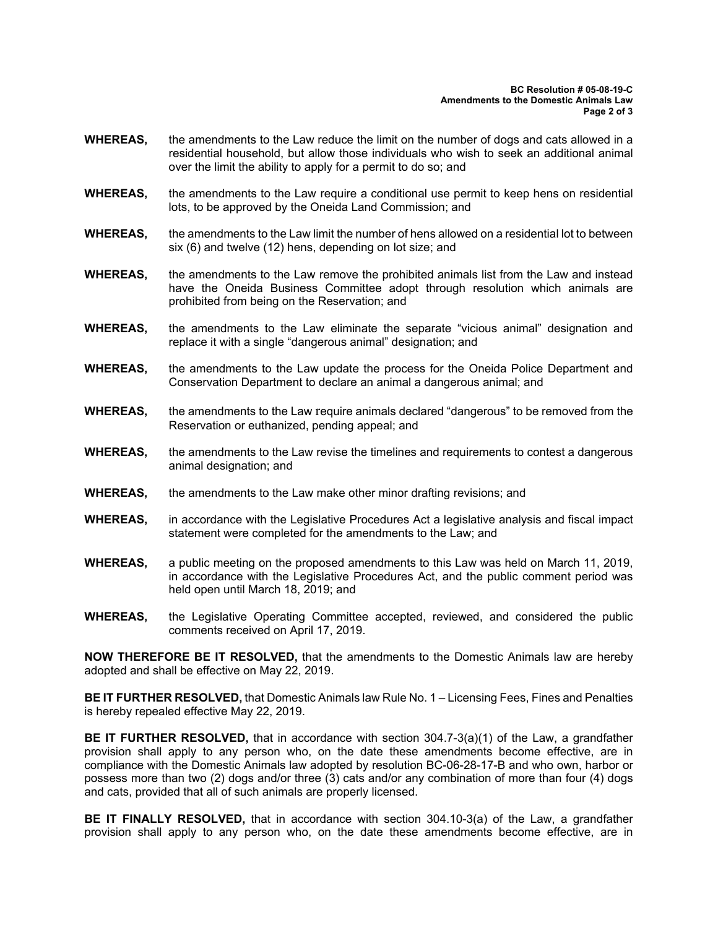- **WHEREAS,** the amendments to the Law reduce the limit on the number of dogs and cats allowed in a residential household, but allow those individuals who wish to seek an additional animal over the limit the ability to apply for a permit to do so; and
- **WHEREAS,** the amendments to the Law require a conditional use permit to keep hens on residential lots, to be approved by the Oneida Land Commission; and
- **WHEREAS,** the amendments to the Law limit the number of hens allowed on a residential lot to between six (6) and twelve (12) hens, depending on lot size; and
- **WHEREAS,** the amendments to the Law remove the prohibited animals list from the Law and instead have the Oneida Business Committee adopt through resolution which animals are prohibited from being on the Reservation; and
- **WHEREAS,** the amendments to the Law eliminate the separate "vicious animal" designation and replace it with a single "dangerous animal" designation; and
- **WHEREAS,** the amendments to the Law update the process for the Oneida Police Department and Conservation Department to declare an animal a dangerous animal; and
- **WHEREAS,** the amendments to the Law require animals declared "dangerous" to be removed from the Reservation or euthanized, pending appeal; and
- **WHEREAS,** the amendments to the Law revise the timelines and requirements to contest a dangerous animal designation; and
- **WHEREAS,** the amendments to the Law make other minor drafting revisions; and
- **WHEREAS,** in accordance with the Legislative Procedures Act a legislative analysis and fiscal impact statement were completed for the amendments to the Law; and
- **WHEREAS,** a public meeting on the proposed amendments to this Law was held on March 11, 2019, in accordance with the Legislative Procedures Act, and the public comment period was held open until March 18, 2019; and
- **WHEREAS,** the Legislative Operating Committee accepted, reviewed, and considered the public comments received on April 17, 2019.

**NOW THEREFORE BE IT RESOLVED,** that the amendments to the Domestic Animals law are hereby adopted and shall be effective on May 22, 2019.

**BE IT FURTHER RESOLVED,** that Domestic Animals law Rule No. 1 – Licensing Fees, Fines and Penalties is hereby repealed effective May 22, 2019.

**BE IT FURTHER RESOLVED,** that in accordance with section 304.7-3(a)(1) of the Law, a grandfather provision shall apply to any person who, on the date these amendments become effective, are in compliance with the Domestic Animals law adopted by resolution BC-06-28-17-B and who own, harbor or possess more than two (2) dogs and/or three (3) cats and/or any combination of more than four (4) dogs and cats, provided that all of such animals are properly licensed.

**BE IT FINALLY RESOLVED,** that in accordance with section 304.10-3(a) of the Law, a grandfather provision shall apply to any person who, on the date these amendments become effective, are in